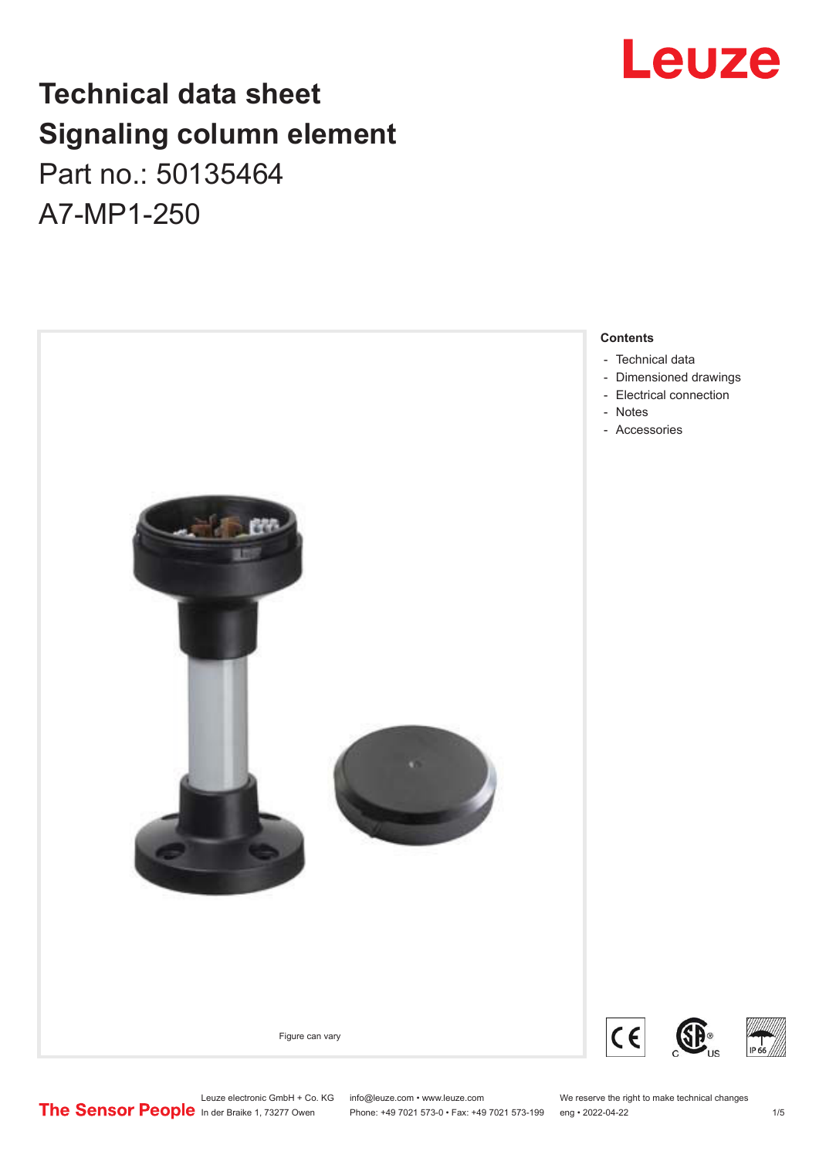## **Technical data sheet Signaling column element** Part no.: 50135464

A7-MP1-250



### Leuze electronic GmbH + Co. KG info@leuze.com • www.leuze.com We reserve the right to make technical changes<br>
The Sensor People in der Braike 1, 73277 Owen Phone: +49 7021 573-0 • Fax: +49 7021 573-199 eng • 2022-04-22

#### Phone: +49 7021 573-0 • Fax: +49 7021 573-199 eng • 2022-04-22 1 /5

Leuze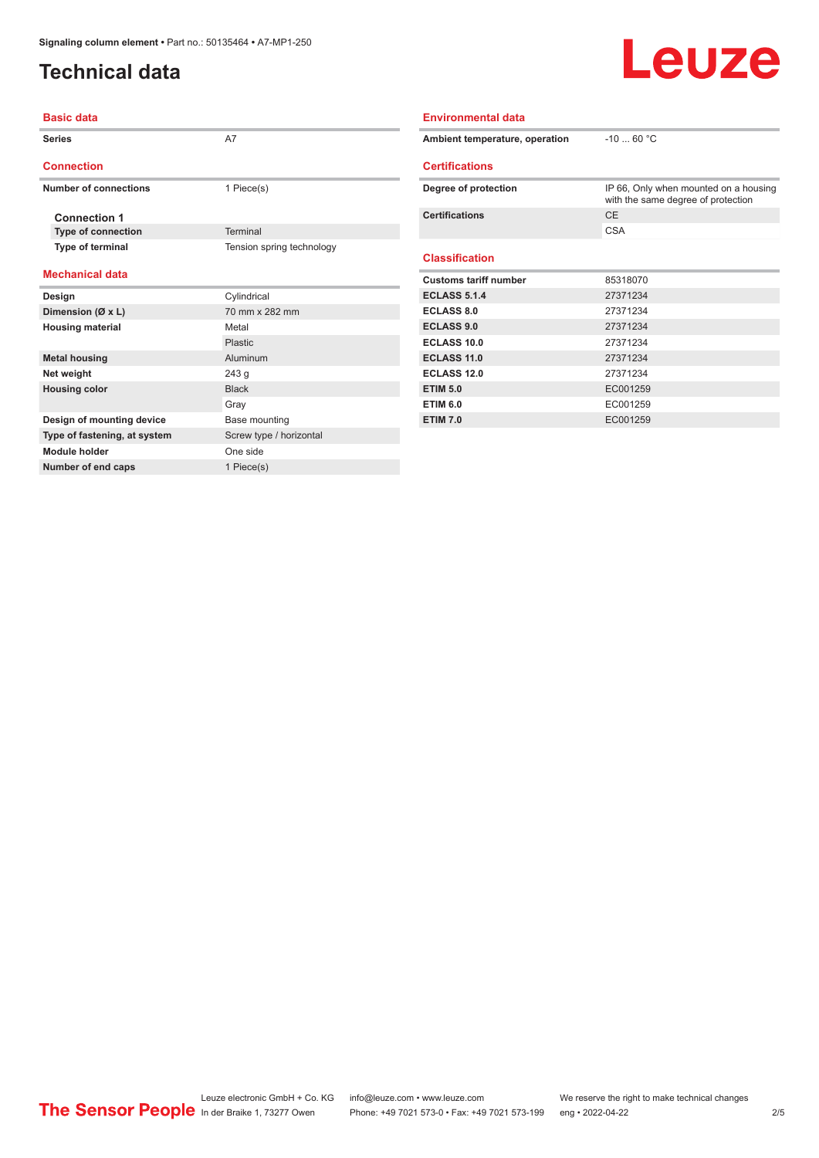**Number of end caps** 1 Piece(s)

#### <span id="page-1-0"></span>**Technical data**

# Leuze

| <b>Basic data</b>            |                           | <b>Environmental data</b>      |                                                                             |  |
|------------------------------|---------------------------|--------------------------------|-----------------------------------------------------------------------------|--|
| <b>Series</b>                | A7                        | Ambient temperature, operation | $-10$ 60 °C                                                                 |  |
| <b>Connection</b>            |                           | <b>Certifications</b>          |                                                                             |  |
| <b>Number of connections</b> | 1 Piece(s)                | Degree of protection           | IP 66, Only when mounted on a housing<br>with the same degree of protection |  |
| <b>Connection 1</b>          |                           | <b>Certifications</b>          | <b>CE</b>                                                                   |  |
| <b>Type of connection</b>    | Terminal                  |                                | <b>CSA</b>                                                                  |  |
| Type of terminal             | Tension spring technology | <b>Classification</b>          |                                                                             |  |
| <b>Mechanical data</b>       |                           | <b>Customs tariff number</b>   | 85318070                                                                    |  |
| Design                       | Cylindrical               | <b>ECLASS 5.1.4</b>            | 27371234                                                                    |  |
| Dimension (Ø x L)            | 70 mm x 282 mm            | <b>ECLASS 8.0</b>              | 27371234                                                                    |  |
| <b>Housing material</b>      | Metal                     | <b>ECLASS 9.0</b>              | 27371234                                                                    |  |
|                              | Plastic                   | <b>ECLASS 10.0</b>             | 27371234                                                                    |  |
| <b>Metal housing</b>         | Aluminum                  | ECLASS 11.0                    | 27371234                                                                    |  |
| Net weight                   | 243 g                     | <b>ECLASS 12.0</b>             | 27371234                                                                    |  |
| <b>Housing color</b>         | <b>Black</b>              | <b>ETIM 5.0</b>                | EC001259                                                                    |  |
|                              | Gray                      | <b>ETIM 6.0</b>                | EC001259                                                                    |  |
| Design of mounting device    | Base mounting             | <b>ETIM 7.0</b>                | EC001259                                                                    |  |
| Type of fastening, at system | Screw type / horizontal   |                                |                                                                             |  |
| <b>Module holder</b>         | One side                  |                                |                                                                             |  |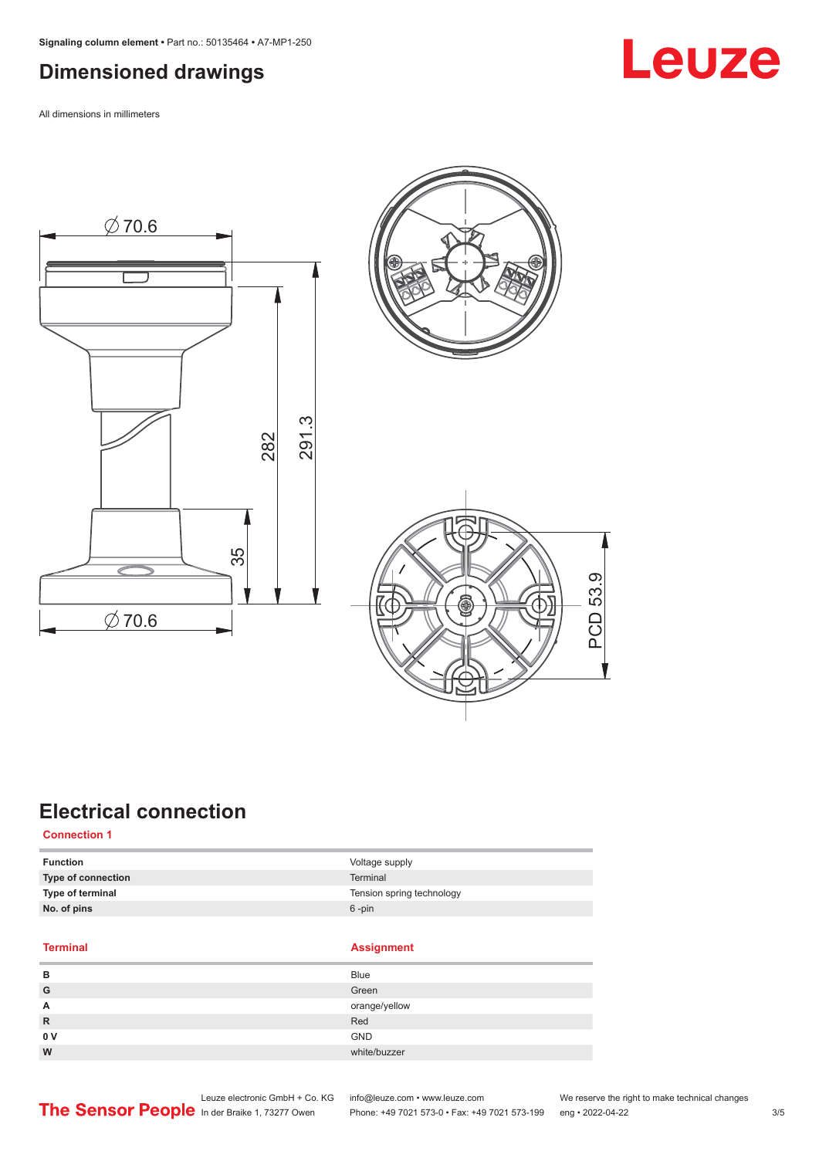#### <span id="page-2-0"></span>**Dimensioned drawings**

All dimensions in millimeters









### **Electrical connection**

**Connection 1**

| <b>Function</b>           | Voltage supply            |
|---------------------------|---------------------------|
| <b>Type of connection</b> | Terminal                  |
| Type of terminal          | Tension spring technology |
| No. of pins               | $6 - pin$                 |
|                           |                           |

**Terminal Assignment**

| в              | <b>Blue</b>   |
|----------------|---------------|
| G              | Green         |
| A              | orange/yellow |
| $\mathsf{R}$   | Red           |
| 0 <sub>V</sub> | <b>GND</b>    |
| W              | white/buzzer  |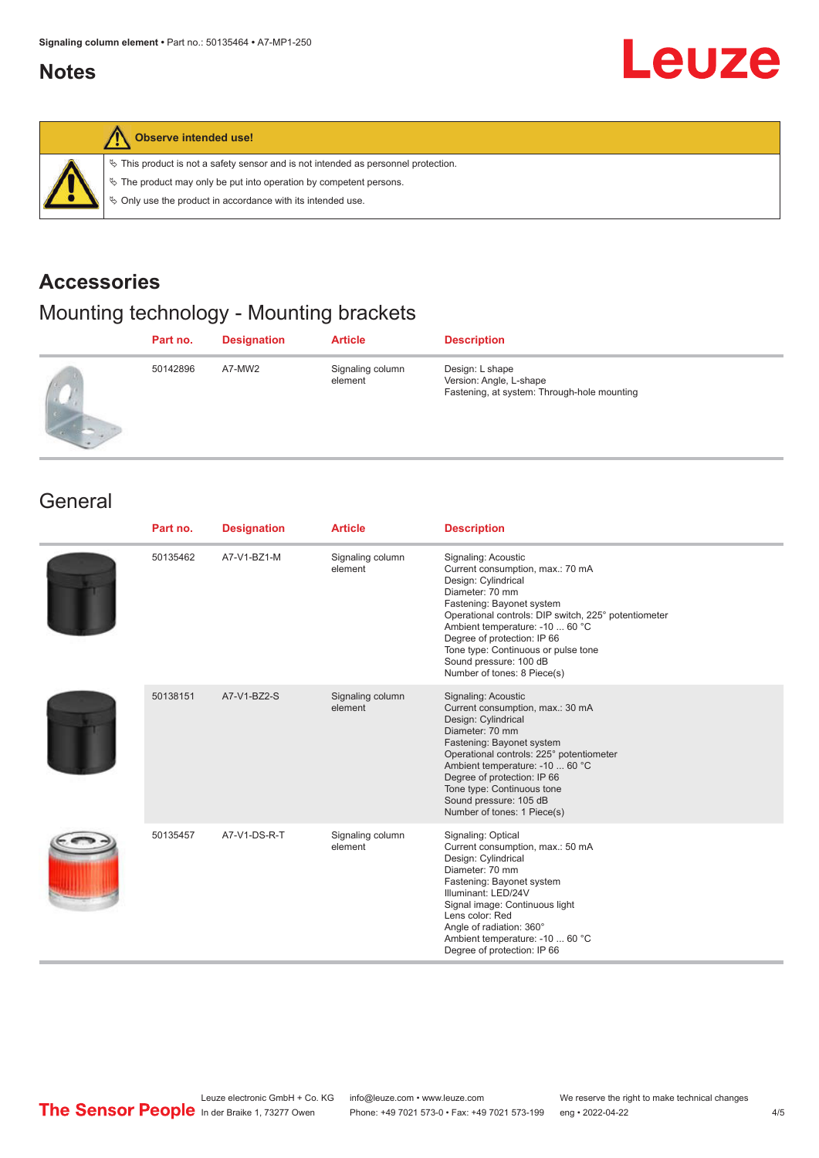#### <span id="page-3-0"></span>**Notes**

# Leuze



#### **Observe intended use!**

 $\%$  This product is not a safety sensor and is not intended as personnel protection.

 $\%$  The product may only be put into operation by competent persons.

 $\%$  Only use the product in accordance with its intended use.

#### **Accessories**

#### Mounting technology - Mounting brackets

| Part no. | <b>Designation</b> | <b>Article</b>              | <b>Description</b>                                                                        |
|----------|--------------------|-----------------------------|-------------------------------------------------------------------------------------------|
| 50142896 | A7-MW2             | Signaling column<br>element | Design: L shape<br>Version: Angle, L-shape<br>Fastening, at system: Through-hole mounting |

#### **General**

| Part no. | <b>Designation</b> | <b>Article</b>              | <b>Description</b>                                                                                                                                                                                                                                                                                                                                       |
|----------|--------------------|-----------------------------|----------------------------------------------------------------------------------------------------------------------------------------------------------------------------------------------------------------------------------------------------------------------------------------------------------------------------------------------------------|
| 50135462 | A7-V1-BZ1-M        | Signaling column<br>element | Signaling: Acoustic<br>Current consumption, max.: 70 mA<br>Design: Cylindrical<br>Diameter: 70 mm<br>Fastening: Bayonet system<br>Operational controls: DIP switch, 225° potentiometer<br>Ambient temperature: -10  60 °C<br>Degree of protection: IP 66<br>Tone type: Continuous or pulse tone<br>Sound pressure: 100 dB<br>Number of tones: 8 Piece(s) |
| 50138151 | A7-V1-BZ2-S        | Signaling column<br>element | Signaling: Acoustic<br>Current consumption, max.: 30 mA<br>Design: Cylindrical<br>Diameter: 70 mm<br>Fastening: Bayonet system<br>Operational controls: 225° potentiometer<br>Ambient temperature: -10  60 °C<br>Degree of protection: IP 66<br>Tone type: Continuous tone<br>Sound pressure: 105 dB<br>Number of tones: 1 Piece(s)                      |
| 50135457 | A7-V1-DS-R-T       | Signaling column<br>element | Signaling: Optical<br>Current consumption, max.: 50 mA<br>Design: Cylindrical<br>Diameter: 70 mm<br>Fastening: Bayonet system<br>Illuminant: LED/24V<br>Signal image: Continuous light<br>Lens color: Red<br>Angle of radiation: 360°<br>Ambient temperature: -10  60 °C<br>Degree of protection: IP 66                                                  |